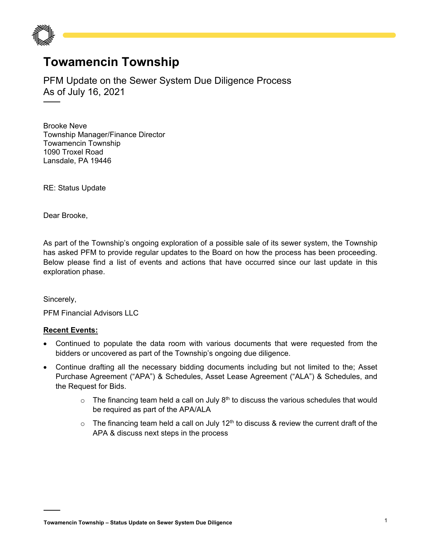

## **Towamencin Township**

PFM Update on the Sewer System Due Diligence Process As of July 16, 2021

Brooke Neve Township Manager/Finance Director Towamencin Township 1090 Troxel Road Lansdale, PA 19446

RE: Status Update

Dear Brooke,

As part of the Township's ongoing exploration of a possible sale of its sewer system, the Township has asked PFM to provide regular updates to the Board on how the process has been proceeding. Below please find a list of events and actions that have occurred since our last update in this exploration phase.

Sincerely,

PFM Financial Advisors LLC

## **Recent Events:**

- Continued to populate the data room with various documents that were requested from the bidders or uncovered as part of the Township's ongoing due diligence.
- Continue drafting all the necessary bidding documents including but not limited to the; Asset Purchase Agreement ("APA") & Schedules, Asset Lease Agreement ("ALA") & Schedules, and the Request for Bids.
	- $\circ$  The financing team held a call on July 8<sup>th</sup> to discuss the various schedules that would be required as part of the APA/ALA
	- $\circ$  The financing team held a call on July 12<sup>th</sup> to discuss & review the current draft of the APA & discuss next steps in the process